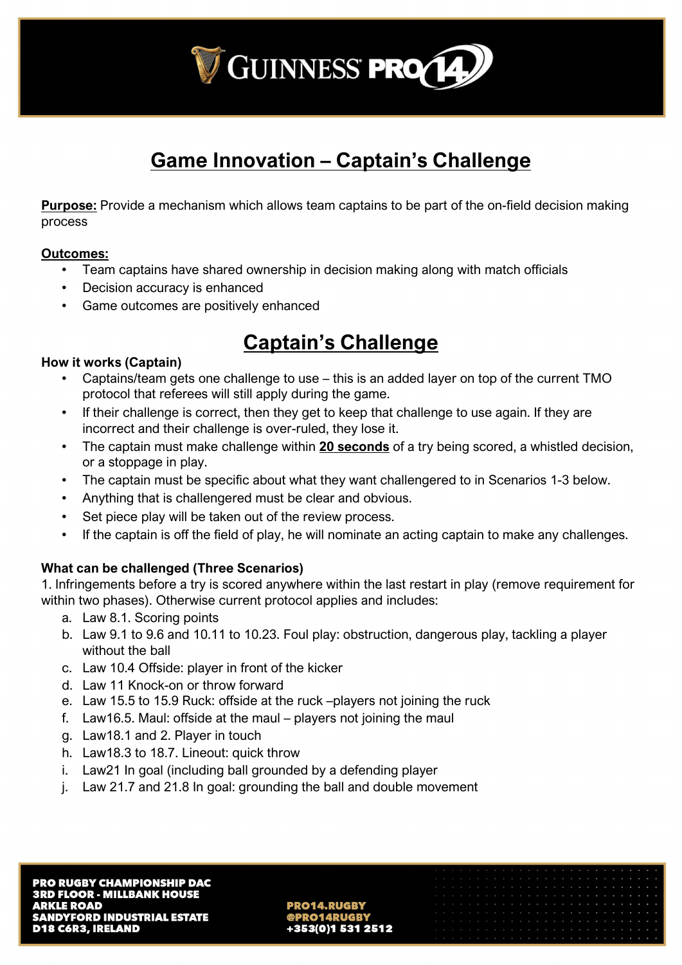

# **Game Innovation – Captain's Challenge**

**Purpose:** Provide a mechanism which allows team captains to be part of the on-field decision making process

#### **Outcomes:**

- Team captains have shared ownership in decision making along with match officials
- Decision accuracy is enhanced
- Game outcomes are positively enhanced

## **Captain's Challenge**

### **How it works (Captain)**

- Captains/team gets one challenge to use this is an added layer on top of the current TMO protocol that referees will still apply during the game.
- If their challenge is correct, then they get to keep that challenge to use again. If they are incorrect and their challenge is over-ruled, they lose it.
- The captain must make challenge within **20 seconds** of a try being scored, a whistled decision, or a stoppage in play.
- The captain must be specific about what they want challengered to in Scenarios 1-3 below.
- Anything that is challengered must be clear and obvious.
- Set piece play will be taken out of the review process.
- If the captain is off the field of play, he will nominate an acting captain to make any challenges.

### **What can be challenged (Three Scenarios)**

1. Infringements before a try is scored anywhere within the last restart in play (remove requirement for within two phases). Otherwise current protocol applies and includes:

- a. Law 8.1. Scoring points
- b. Law 9.1 to 9.6 and 10.11 to 10.23. Foul play: obstruction, dangerous play, tackling a player without the ball
- c. Law 10.4 Offside: player in front of the kicker
- d. Law 11 Knock-on or throw forward
- e. Law 15.5 to 15.9 Ruck: offside at the ruck –players not joining the ruck
- f. Law16.5. Maul: offside at the maul players not joining the maul
- g. Law18.1 and 2. Player in touch
- h. Law18.3 to 18.7. Lineout: quick throw
- i. Law21 In goal (including ball grounded by a defending player
- j. Law 21.7 and 21.8 In goal: grounding the ball and double movement

353(0)1 531 2512

| the contract of the contract of the contract of the contract of the contract of the contract of the contract of |  |  |  |  |  |  |  |  |  |  |  |  |
|-----------------------------------------------------------------------------------------------------------------|--|--|--|--|--|--|--|--|--|--|--|--|
|                                                                                                                 |  |  |  |  |  |  |  |  |  |  |  |  |
| The contract of the contract of the contract of the contract of the contract of the contract of the contract of |  |  |  |  |  |  |  |  |  |  |  |  |
|                                                                                                                 |  |  |  |  |  |  |  |  |  |  |  |  |
|                                                                                                                 |  |  |  |  |  |  |  |  |  |  |  |  |
|                                                                                                                 |  |  |  |  |  |  |  |  |  |  |  |  |
|                                                                                                                 |  |  |  |  |  |  |  |  |  |  |  |  |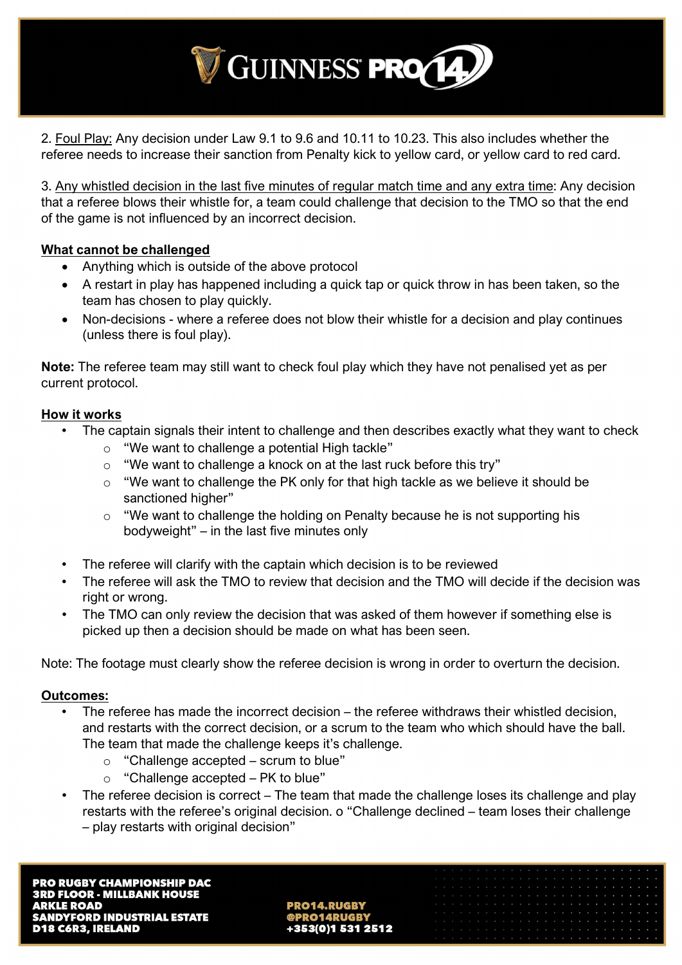

2. Foul Play: Any decision under Law 9.1 to 9.6 and 10.11 to 10.23. This also includes whether the referee needs to increase their sanction from Penalty kick to yellow card, or yellow card to red card.

3. Any whistled decision in the last five minutes of regular match time and any extra time: Any decision that a referee blows their whistle for, a team could challenge that decision to the TMO so that the end of the game is not influenced by an incorrect decision.

#### **What cannot be challenged**

- Anything which is outside of the above protocol
- A restart in play has happened including a quick tap or quick throw in has been taken, so the team has chosen to play quickly.
- Non-decisions where a referee does not blow their whistle for a decision and play continues (unless there is foul play).

**Note:** The referee team may still want to check foul play which they have not penalised yet as per current protocol.

### **How it works**

- The captain signals their intent to challenge and then describes exactly what they want to check
	- $\circ$  "We want to challenge a potential High tackle"
	- o "We want to challenge a knock on at the last ruck before this try"
	- $\circ$  "We want to challenge the PK only for that high tackle as we believe it should be sanctioned higher"
	- o "We want to challenge the holding on Penalty because he is not supporting his bodyweight" – in the last five minutes only
- The referee will clarify with the captain which decision is to be reviewed
- The referee will ask the TMO to review that decision and the TMO will decide if the decision was right or wrong.
- The TMO can only review the decision that was asked of them however if something else is picked up then a decision should be made on what has been seen.

Note: The footage must clearly show the referee decision is wrong in order to overturn the decision.

#### **Outcomes:**

- The referee has made the incorrect decision the referee withdraws their whistled decision, and restarts with the correct decision, or a scrum to the team who which should have the ball. The team that made the challenge keeps it's challenge.
	- $\circ$  "Challenge accepted scrum to blue"
	- $\circ$  "Challenge accepted PK to blue"
- The referee decision is correct The team that made the challenge loses its challenge and play restarts with the referee's original decision. o "Challenge declined – team loses their challenge – play restarts with original decision"

| and a company of the company of the company of the company of the company of the company of the company of the     |  |  |  |  |  |  |  |  |  |  |  |  |  |
|--------------------------------------------------------------------------------------------------------------------|--|--|--|--|--|--|--|--|--|--|--|--|--|
|                                                                                                                    |  |  |  |  |  |  |  |  |  |  |  |  |  |
| a constitution of the constitution of the constitution of the constitution of the constitution of the constitution |  |  |  |  |  |  |  |  |  |  |  |  |  |
|                                                                                                                    |  |  |  |  |  |  |  |  |  |  |  |  |  |
|                                                                                                                    |  |  |  |  |  |  |  |  |  |  |  |  |  |
|                                                                                                                    |  |  |  |  |  |  |  |  |  |  |  |  |  |
|                                                                                                                    |  |  |  |  |  |  |  |  |  |  |  |  |  |
|                                                                                                                    |  |  |  |  |  |  |  |  |  |  |  |  |  |